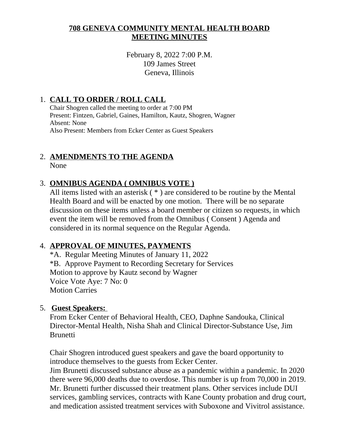### **708 GENEVA COMMUNITY MENTAL HEALTH BOARD MEETING MINUTES**

February 8, 2022 7:00 P.M. 109 James Street Geneva, Illinois

## 1. **CALL TO ORDER / ROLL CALL**

Chair Shogren called the meeting to order at 7:00 PM Present: Fintzen, Gabriel, Gaines, Hamilton, Kautz, Shogren, Wagner Absent: None Also Present: Members from Ecker Center as Guest Speakers

# 2. **AMENDMENTS TO THE AGENDA**

None

## 3. **OMNIBUS AGENDA ( OMNIBUS VOTE )**

All items listed with an asterisk ( \* ) are considered to be routine by the Mental Health Board and will be enacted by one motion. There will be no separate discussion on these items unless a board member or citizen so requests, in which event the item will be removed from the Omnibus ( Consent ) Agenda and considered in its normal sequence on the Regular Agenda.

## 4. **APPROVAL OF MINUTES, PAYMENTS**

\*A. Regular Meeting Minutes of January 11, 2022 \*B. Approve Payment to Recording Secretary for Services Motion to approve by Kautz second by Wagner Voice Vote Aye: 7 No: 0 Motion Carries

## 5. **Guest Speakers:**

From Ecker Center of Behavioral Health, CEO, Daphne Sandouka, Clinical Director-Mental Health, Nisha Shah and Clinical Director-Substance Use, Jim **Brunetti** 

Chair Shogren introduced guest speakers and gave the board opportunity to introduce themselves to the guests from Ecker Center.

Jim Brunetti discussed substance abuse as a pandemic within a pandemic. In 2020 there were 96,000 deaths due to overdose. This number is up from 70,000 in 2019. Mr. Brunetti further discussed their treatment plans. Other services include DUI services, gambling services, contracts with Kane County probation and drug court, and medication assisted treatment services with Suboxone and Vivitrol assistance.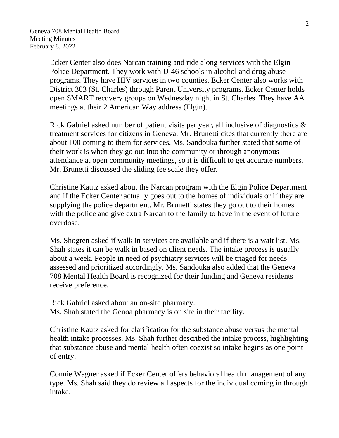Ecker Center also does Narcan training and ride along services with the Elgin Police Department. They work with U-46 schools in alcohol and drug abuse programs. They have HIV services in two counties. Ecker Center also works with District 303 (St. Charles) through Parent University programs. Ecker Center holds open SMART recovery groups on Wednesday night in St. Charles. They have AA meetings at their 2 American Way address (Elgin).

Rick Gabriel asked number of patient visits per year, all inclusive of diagnostics & treatment services for citizens in Geneva. Mr. Brunetti cites that currently there are about 100 coming to them for services. Ms. Sandouka further stated that some of their work is when they go out into the community or through anonymous attendance at open community meetings, so it is difficult to get accurate numbers. Mr. Brunetti discussed the sliding fee scale they offer.

Christine Kautz asked about the Narcan program with the Elgin Police Department and if the Ecker Center actually goes out to the homes of individuals or if they are supplying the police department. Mr. Brunetti states they go out to their homes with the police and give extra Narcan to the family to have in the event of future overdose.

Ms. Shogren asked if walk in services are available and if there is a wait list. Ms. Shah states it can be walk in based on client needs. The intake process is usually about a week. People in need of psychiatry services will be triaged for needs assessed and prioritized accordingly. Ms. Sandouka also added that the Geneva 708 Mental Health Board is recognized for their funding and Geneva residents receive preference.

Rick Gabriel asked about an on-site pharmacy. Ms. Shah stated the Genoa pharmacy is on site in their facility.

Christine Kautz asked for clarification for the substance abuse versus the mental health intake processes. Ms. Shah further described the intake process, highlighting that substance abuse and mental health often coexist so intake begins as one point of entry.

Connie Wagner asked if Ecker Center offers behavioral health management of any type. Ms. Shah said they do review all aspects for the individual coming in through intake.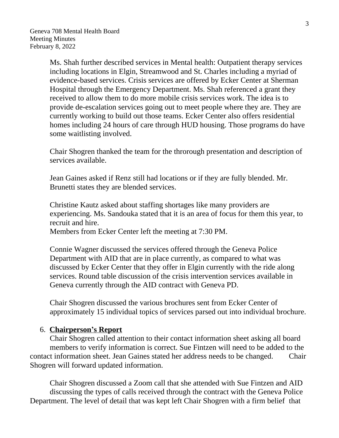Ms. Shah further described services in Mental health: Outpatient therapy services including locations in Elgin, Streamwood and St. Charles including a myriad of evidence-based services. Crisis services are offered by Ecker Center at Sherman Hospital through the Emergency Department. Ms. Shah referenced a grant they received to allow them to do more mobile crisis services work. The idea is to provide de-escalation services going out to meet people where they are. They are currently working to build out those teams. Ecker Center also offers residential homes including 24 hours of care through HUD housing. Those programs do have some waitlisting involved.

Chair Shogren thanked the team for the throrough presentation and description of services available.

Jean Gaines asked if Renz still had locations or if they are fully blended. Mr. Brunetti states they are blended services.

Christine Kautz asked about staffing shortages like many providers are experiencing. Ms. Sandouka stated that it is an area of focus for them this year, to recruit and hire.

Members from Ecker Center left the meeting at 7:30 PM.

Connie Wagner discussed the services offered through the Geneva Police Department with AID that are in place currently, as compared to what was discussed by Ecker Center that they offer in Elgin currently with the ride along services. Round table discussion of the crisis intervention services available in Geneva currently through the AID contract with Geneva PD.

Chair Shogren discussed the various brochures sent from Ecker Center of approximately 15 individual topics of services parsed out into individual brochure.

#### 6. **Chairperson's Report**

Chair Shogren called attention to their contact information sheet asking all board members to verify information is correct. Sue Fintzen will need to be added to the contact information sheet. Jean Gaines stated her address needs to be changed. Chair Shogren will forward updated information.

Chair Shogren discussed a Zoom call that she attended with Sue Fintzen and AID discussing the types of calls received through the contract with the Geneva Police Department. The level of detail that was kept left Chair Shogren with a firm belief that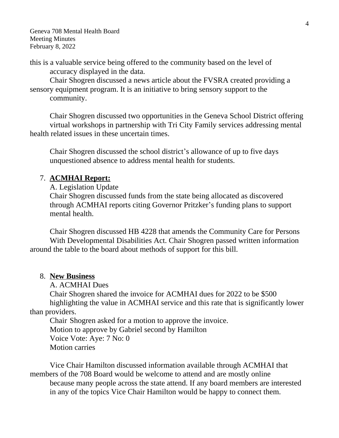this is a valuable service being offered to the community based on the level of accuracy displayed in the data.

Chair Shogren discussed a news article about the FVSRA created providing a sensory equipment program. It is an initiative to bring sensory support to the community.

Chair Shogren discussed two opportunities in the Geneva School District offering virtual workshops in partnership with Tri City Family services addressing mental health related issues in these uncertain times.

Chair Shogren discussed the school district's allowance of up to five days unquestioned absence to address mental health for students.

#### 7. **ACMHAI Report:**

A. Legislation Update

Chair Shogren discussed funds from the state being allocated as discovered through ACMHAI reports citing Governor Pritzker's funding plans to support mental health.

Chair Shogren discussed HB 4228 that amends the Community Care for Persons With Developmental Disabilities Act. Chair Shogren passed written information around the table to the board about methods of support for this bill.

#### 8. **New Business**

A. ACMHAI Dues

Chair Shogren shared the invoice for ACMHAI dues for 2022 to be \$500 highlighting the value in ACMHAI service and this rate that is significantly lower than providers.

Chair Shogren asked for a motion to approve the invoice. Motion to approve by Gabriel second by Hamilton Voice Vote: Aye: 7 No: 0 Motion carries

Vice Chair Hamilton discussed information available through ACMHAI that members of the 708 Board would be welcome to attend and are mostly online because many people across the state attend. If any board members are interested in any of the topics Vice Chair Hamilton would be happy to connect them.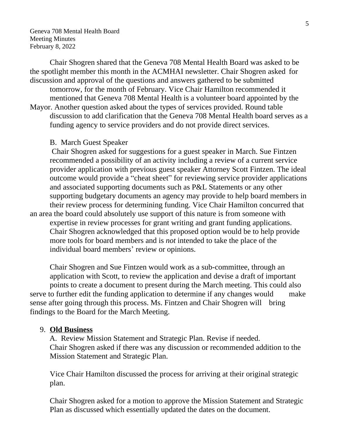Chair Shogren shared that the Geneva 708 Mental Health Board was asked to be the spotlight member this month in the ACMHAI newsletter. Chair Shogren asked for discussion and approval of the questions and answers gathered to be submitted

tomorrow, for the month of February. Vice Chair Hamilton recommended it mentioned that Geneva 708 Mental Health is a volunteer board appointed by the

Mayor. Another question asked about the types of services provided. Round table discussion to add clarification that the Geneva 708 Mental Health board serves as a funding agency to service providers and do not provide direct services.

#### B. March Guest Speaker

Chair Shogren asked for suggestions for a guest speaker in March. Sue Fintzen recommended a possibility of an activity including a review of a current service provider application with previous guest speaker Attorney Scott Fintzen. The ideal outcome would provide a "cheat sheet" for reviewing service provider applications and associated supporting documents such as P&L Statements or any other supporting budgetary documents an agency may provide to help board members in their review process for determining funding. Vice Chair Hamilton concurred that an area the board could absolutely use support of this nature is from someone with expertise in review processes for grant writing and grant funding applications. Chair Shogren acknowledged that this proposed option would be to help provide more tools for board members and is *not* intended to take the place of the individual board members' review or opinions.

Chair Shogren and Sue Fintzen would work as a sub-committee, through an application with Scott, to review the application and devise a draft of important points to create a document to present during the March meeting. This could also serve to further edit the funding application to determine if any changes would make sense after going through this process. Ms. Fintzen and Chair Shogren will bring findings to the Board for the March Meeting.

#### 9. **Old Business**

 A. Review Mission Statement and Strategic Plan. Revise if needed. Chair Shogren asked if there was any discussion or recommended addition to the Mission Statement and Strategic Plan.

Vice Chair Hamilton discussed the process for arriving at their original strategic plan.

Chair Shogren asked for a motion to approve the Mission Statement and Strategic Plan as discussed which essentially updated the dates on the document.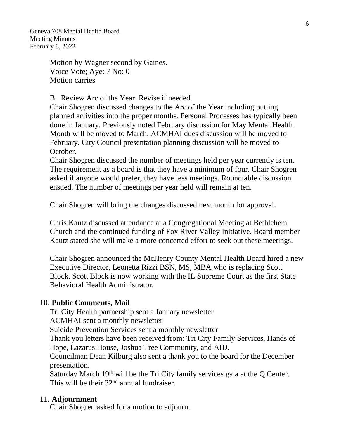> Motion by Wagner second by Gaines. Voice Vote; Aye: 7 No: 0 Motion carries

B. Review Arc of the Year. Revise if needed.

Chair Shogren discussed changes to the Arc of the Year including putting planned activities into the proper months. Personal Processes has typically been done in January. Previously noted February discussion for May Mental Health Month will be moved to March. ACMHAI dues discussion will be moved to February. City Council presentation planning discussion will be moved to October.

Chair Shogren discussed the number of meetings held per year currently is ten. The requirement as a board is that they have a minimum of four. Chair Shogren asked if anyone would prefer, they have less meetings. Roundtable discussion ensued. The number of meetings per year held will remain at ten.

Chair Shogren will bring the changes discussed next month for approval.

Chris Kautz discussed attendance at a Congregational Meeting at Bethlehem Church and the continued funding of Fox River Valley Initiative. Board member Kautz stated she will make a more concerted effort to seek out these meetings.

Chair Shogren announced the McHenry County Mental Health Board hired a new Executive Director, Leonetta Rizzi BSN, MS, MBA who is replacing Scott Block. Scott Block is now working with the IL Supreme Court as the first State Behavioral Health Administrator.

#### 10. **Public Comments, Mail**

Tri City Health partnership sent a January newsletter

ACMHAI sent a monthly newsletter

Suicide Prevention Services sent a monthly newsletter

Thank you letters have been received from: Tri City Family Services, Hands of Hope, Lazarus House, Joshua Tree Community, and AID.

Councilman Dean Kilburg also sent a thank you to the board for the December presentation.

Saturday March 19th will be the Tri City family services gala at the Q Center. This will be their 32<sup>nd</sup> annual fundraiser.

#### 11. **Adjournment**

Chair Shogren asked for a motion to adjourn.